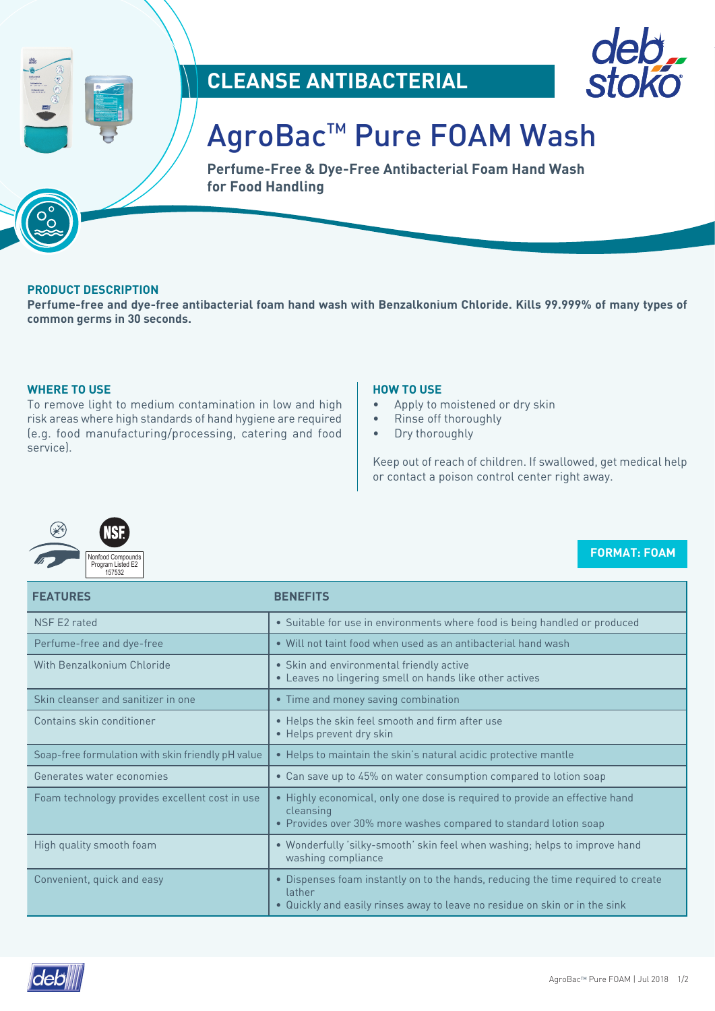





# AgroBac™ Pure FOAM Wash

**Perfume-Free & Dye-Free Antibacterial Foam Hand Wash for Food Handling**

# **PRODUCT DESCRIPTION**

**Perfume-free and dye-free antibacterial foam hand wash with Benzalkonium Chloride. Kills 99.999% of many types of common germs in 30 seconds.**

# **WHERE TO USE**

To remove light to medium contamination in low and high risk areas where high standards of hand hygiene are required (e.g. food manufacturing/processing, catering and food service).

# **HOW TO USE**

- Apply to moistened or dry skin
- Rinse off thoroughly
- Dry thoroughly

Keep out of reach of children. If swallowed, get medical help or contact a poison control center right away.



# **FORMAT: FOAM**

| <b>FEATURES</b>                                   | <b>BENEFITS</b>                                                                                                                                                           |  |
|---------------------------------------------------|---------------------------------------------------------------------------------------------------------------------------------------------------------------------------|--|
| NSF E2 rated                                      | • Suitable for use in environments where food is being handled or produced                                                                                                |  |
| Perfume-free and dye-free                         | • Will not taint food when used as an antibacterial hand wash                                                                                                             |  |
| With Benzalkonium Chloride                        | • Skin and environmental friendly active<br>• Leaves no lingering smell on hands like other actives                                                                       |  |
| Skin cleanser and sanitizer in one                | • Time and money saving combination                                                                                                                                       |  |
| Contains skin conditioner                         | • Helps the skin feel smooth and firm after use<br>• Helps prevent dry skin                                                                                               |  |
| Soap-free formulation with skin friendly pH value | • Helps to maintain the skin's natural acidic protective mantle                                                                                                           |  |
| Generates water economies                         | • Can save up to 45% on water consumption compared to lotion soap                                                                                                         |  |
| Foam technology provides excellent cost in use    | • Highly economical, only one dose is required to provide an effective hand<br>cleansing<br>• Provides over 30% more washes compared to standard lotion soap              |  |
| High quality smooth foam                          | . Wonderfully 'silky-smooth' skin feel when washing; helps to improve hand<br>washing compliance                                                                          |  |
| Convenient, quick and easy                        | • Dispenses foam instantly on to the hands, reducing the time required to create<br>lather<br>. Quickly and easily rinses away to leave no residue on skin or in the sink |  |